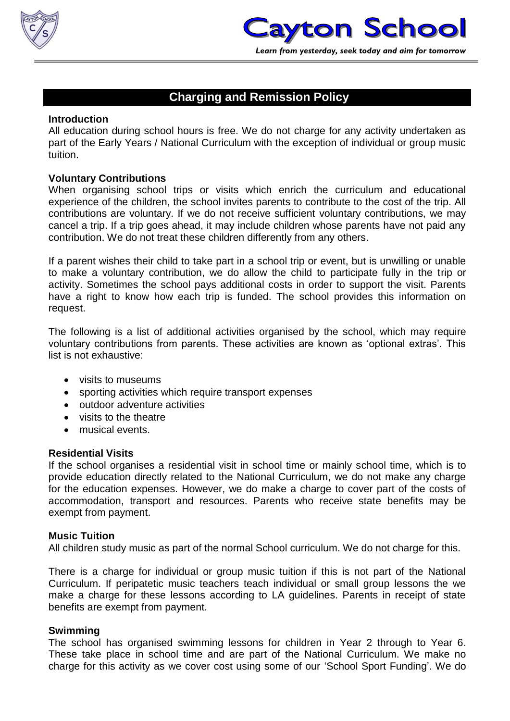

# **Charging and Remission Policy**

## **Introduction**

All education during school hours is free. We do not charge for any activity undertaken as part of the Early Years / National Curriculum with the exception of individual or group music tuition.

## **Voluntary Contributions**

When organising school trips or visits which enrich the curriculum and educational experience of the children, the school invites parents to contribute to the cost of the trip. All contributions are voluntary. If we do not receive sufficient voluntary contributions, we may cancel a trip. If a trip goes ahead, it may include children whose parents have not paid any contribution. We do not treat these children differently from any others.

If a parent wishes their child to take part in a school trip or event, but is unwilling or unable to make a voluntary contribution, we do allow the child to participate fully in the trip or activity. Sometimes the school pays additional costs in order to support the visit. Parents have a right to know how each trip is funded. The school provides this information on request.

The following is a list of additional activities organised by the school, which may require voluntary contributions from parents. These activities are known as 'optional extras'. This list is not exhaustive:

- visits to museums
- sporting activities which require transport expenses
- outdoor adventure activities
- visits to the theatre
- musical events.

#### **Residential Visits**

If the school organises a residential visit in school time or mainly school time, which is to provide education directly related to the National Curriculum, we do not make any charge for the education expenses. However, we do make a charge to cover part of the costs of accommodation, transport and resources. Parents who receive state benefits may be exempt from payment.

#### **Music Tuition**

All children study music as part of the normal School curriculum. We do not charge for this.

There is a charge for individual or group music tuition if this is not part of the National Curriculum. If peripatetic music teachers teach individual or small group lessons the we make a charge for these lessons according to LA guidelines. Parents in receipt of state benefits are exempt from payment.

## **Swimming**

The school has organised swimming lessons for children in Year 2 through to Year 6. These take place in school time and are part of the National Curriculum. We make no charge for this activity as we cover cost using some of our 'School Sport Funding'. We do